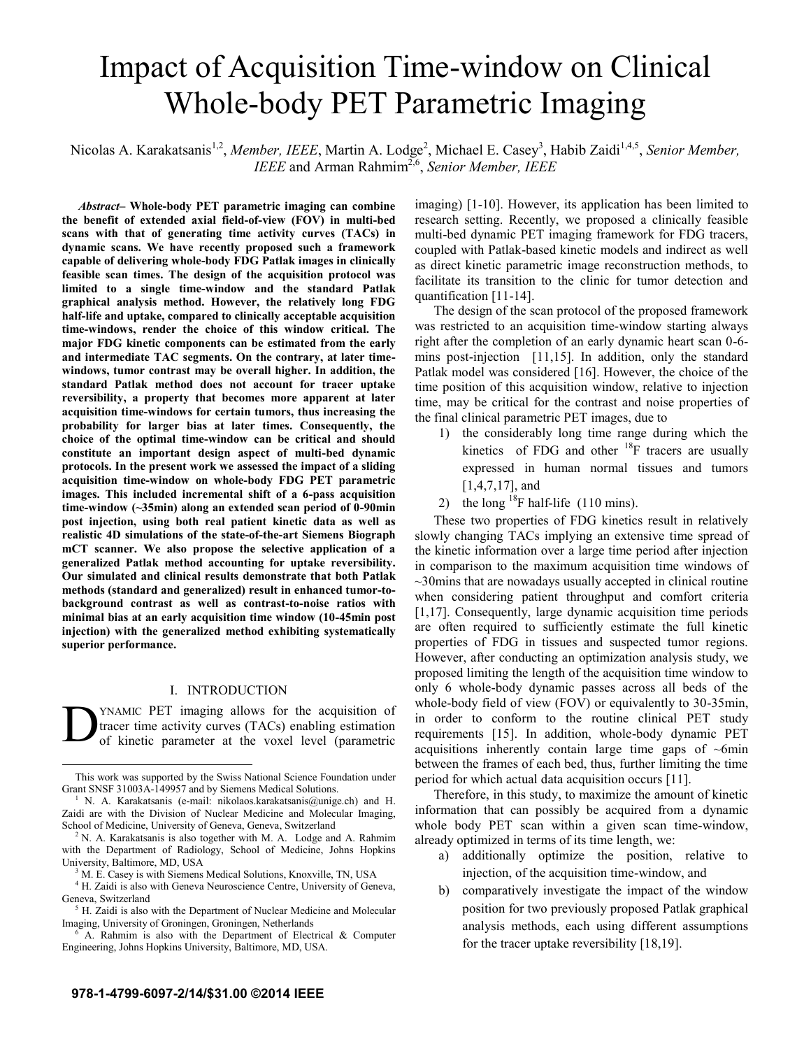# Impact of Acquisition Time-window on Clinical Whole-body PET Parametric Imaging

Nicolas A. Karakatsanis<sup>1,2</sup>, *Member, IEEE*, Martin A. Lodge<sup>2</sup>, Michael E. Casey<sup>3</sup>, Habib Zaidi<sup>1,4,5</sup>, Senior Member, *IEEE* and Arman Rahmim2,6, *Senior Member, IEEE*

*Abstract***– Whole-body PET parametric imaging can combine the benefit of extended axial field-of-view (FOV) in multi-bed scans with that of generating time activity curves (TACs) in dynamic scans. We have recently proposed such a framework capable of delivering whole-body FDG Patlak images in clinically feasible scan times. The design of the acquisition protocol was limited to a single time-window and the standard Patlak graphical analysis method. However, the relatively long FDG half-life and uptake, compared to clinically acceptable acquisition time-windows, render the choice of this window critical. The major FDG kinetic components can be estimated from the early and intermediate TAC segments. On the contrary, at later timewindows, tumor contrast may be overall higher. In addition, the standard Patlak method does not account for tracer uptake reversibility, a property that becomes more apparent at later acquisition time-windows for certain tumors, thus increasing the probability for larger bias at later times. Consequently, the choice of the optimal time-window can be critical and should constitute an important design aspect of multi-bed dynamic protocols. In the present work we assessed the impact of a sliding acquisition time-window on whole-body FDG PET parametric images. This included incremental shift of a 6-pass acquisition time-window (~35min) along an extended scan period of 0-90min post injection, using both real patient kinetic data as well as realistic 4D simulations of the state-of-the-art Siemens Biograph mCT scanner. We also propose the selective application of a generalized Patlak method accounting for uptake reversibility. Our simulated and clinical results demonstrate that both Patlak methods (standard and generalized) result in enhanced tumor-tobackground contrast as well as contrast-to-noise ratios with minimal bias at an early acquisition time window (10-45min post injection) with the generalized method exhibiting systematically superior performance.** 

## I. INTRODUCTION

YNAMIC PET imaging allows for the acquisition of tracer time activity curves (TACs) enabling estimation of kinetic parameter at the voxel level (parametric  $\mathbf{D}^{\text{YN}}_{\text{tra}}$ 

imaging) [1-10]. However, its application has been limited to research setting. Recently, we proposed a clinically feasible multi-bed dynamic PET imaging framework for FDG tracers, coupled with Patlak-based kinetic models and indirect as well as direct kinetic parametric image reconstruction methods, to facilitate its transition to the clinic for tumor detection and quantification [11-14].

The design of the scan protocol of the proposed framework was restricted to an acquisition time-window starting always right after the completion of an early dynamic heart scan 0-6 mins post-injection [11,15]. In addition, only the standard Patlak model was considered [16]. However, the choice of the time position of this acquisition window, relative to injection time, may be critical for the contrast and noise properties of the final clinical parametric PET images, due to

- 1) the considerably long time range during which the kinetics of FDG and other  $^{18}$ F tracers are usually expressed in human normal tissues and tumors [1,4,7,17], and
- 2) the long  $^{18}$ F half-life (110 mins).

These two properties of FDG kinetics result in relatively slowly changing TACs implying an extensive time spread of the kinetic information over a large time period after injection in comparison to the maximum acquisition time windows of ~30mins that are nowadays usually accepted in clinical routine when considering patient throughput and comfort criteria [1,17]. Consequently, large dynamic acquisition time periods are often required to sufficiently estimate the full kinetic properties of FDG in tissues and suspected tumor regions. However, after conducting an optimization analysis study, we proposed limiting the length of the acquisition time window to only 6 whole-body dynamic passes across all beds of the whole-body field of view (FOV) or equivalently to 30-35min, in order to conform to the routine clinical PET study requirements [15]. In addition, whole-body dynamic PET acquisitions inherently contain large time gaps of  $\sim$ 6min between the frames of each bed, thus, further limiting the time period for which actual data acquisition occurs [11].

Therefore, in this study, to maximize the amount of kinetic information that can possibly be acquired from a dynamic whole body PET scan within a given scan time-window, already optimized in terms of its time length, we:

- a) additionally optimize the position, relative to injection, of the acquisition time-window, and
- b) comparatively investigate the impact of the window position for two previously proposed Patlak graphical analysis methods, each using different assumptions for the tracer uptake reversibility [18,19].

This work was supported by the Swiss National Science Foundation under Grant SNSF 31003A-149957 and by Siemens Medical Solutions. 1

<sup>&</sup>lt;sup>1</sup> N. A. Karakatsanis (e-mail: nikolaos.karakatsanis@unige.ch) and H. Zaidi are with the Division of Nuclear Medicine and Molecular Imaging, School of Medicine, University of Geneva, Geneva, Switzerland

N. A. Karakatsanis is also together with M. A. Lodge and A. Rahmim with the Department of Radiology, School of Medicine, Johns Hopkins University, Baltimore, MD, USA 3

M. E. Casey is with Siemens Medical Solutions, Knoxville, TN, USA

<sup>&</sup>lt;sup>4</sup> H. Zaidi is also with Geneva Neuroscience Centre, University of Geneva, Geneva, Switzerland

 $<sup>5</sup>$  H. Zaidi is also with the Department of Nuclear Medicine and Molecular</sup> Imaging, University of Groningen, Groningen, Netherlands 6

A. Rahmim is also with the Department of Electrical & Computer Engineering, Johns Hopkins University, Baltimore, MD, USA.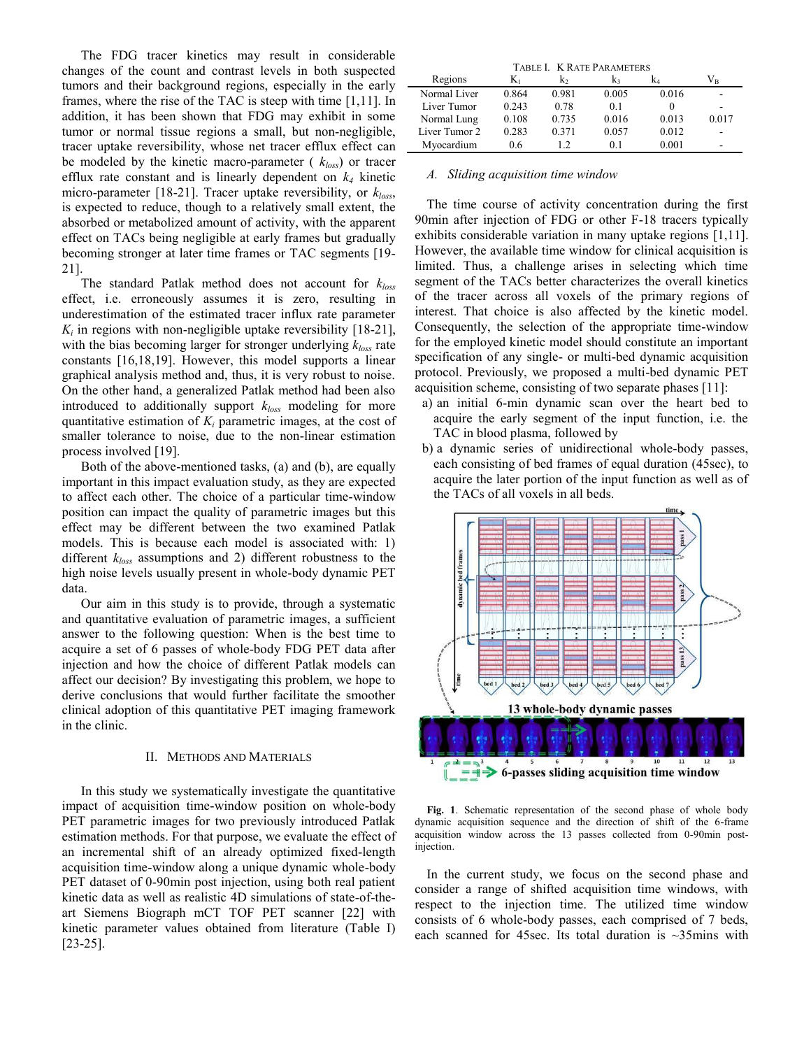The FDG tracer kinetics may result in considerable changes of the count and contrast levels in both suspected tumors and their background regions, especially in the early frames, where the rise of the TAC is steep with time [1,11]. In addition, it has been shown that FDG may exhibit in some tumor or normal tissue regions a small, but non-negligible, tracer uptake reversibility, whose net tracer efflux effect can be modeled by the kinetic macro-parameter ( *kloss*) or tracer efflux rate constant and is linearly dependent on  $k_4$  kinetic micro-parameter [18-21]. Tracer uptake reversibility, or *kloss*, is expected to reduce, though to a relatively small extent, the absorbed or metabolized amount of activity, with the apparent effect on TACs being negligible at early frames but gradually becoming stronger at later time frames or TAC segments [19- 21].

The standard Patlak method does not account for *kloss* effect, i.e. erroneously assumes it is zero, resulting in underestimation of the estimated tracer influx rate parameter  $K_i$  in regions with non-negligible uptake reversibility  $[18-21]$ , with the bias becoming larger for stronger underlying *kloss* rate constants [16,18,19]. However, this model supports a linear graphical analysis method and, thus, it is very robust to noise. On the other hand, a generalized Patlak method had been also introduced to additionally support *kloss* modeling for more quantitative estimation of  $K_i$  parametric images, at the cost of smaller tolerance to noise, due to the non-linear estimation process involved [19].

Both of the above-mentioned tasks, (a) and (b), are equally important in this impact evaluation study, as they are expected to affect each other. The choice of a particular time-window position can impact the quality of parametric images but this effect may be different between the two examined Patlak models. This is because each model is associated with: 1) different *kloss* assumptions and 2) different robustness to the high noise levels usually present in whole-body dynamic PET data.

Our aim in this study is to provide, through a systematic and quantitative evaluation of parametric images, a sufficient answer to the following question: When is the best time to acquire a set of 6 passes of whole-body FDG PET data after injection and how the choice of different Patlak models can affect our decision? By investigating this problem, we hope to derive conclusions that would further facilitate the smoother clinical adoption of this quantitative PET imaging framework in the clinic.

## II. METHODS AND MATERIALS

In this study we systematically investigate the quantitative impact of acquisition time-window position on whole-body PET parametric images for two previously introduced Patlak estimation methods. For that purpose, we evaluate the effect of an incremental shift of an already optimized fixed-length acquisition time-window along a unique dynamic whole-body PET dataset of 0-90min post injection, using both real patient kinetic data as well as realistic 4D simulations of state-of-theart Siemens Biograph mCT TOF PET scanner [22] with kinetic parameter values obtained from literature (Table I) [23-25].

| TABLE I. K RATE PARAMETERS |       |       |       |       |                                |
|----------------------------|-------|-------|-------|-------|--------------------------------|
| Regions                    | K1    | k,    | k٠    | k.    | $\rm V_{\scriptscriptstyle R}$ |
| Normal Liver               | 0.864 | 0.981 | 0.005 | 0.016 |                                |
| Liver Tumor                | 0.243 | 0.78  | 0.1   |       |                                |
| Normal Lung                | 0.108 | 0.735 | 0.016 | 0.013 | 0.017                          |
| Liver Tumor 2              | 0.283 | 0.371 | 0.057 | 0.012 |                                |
| Myocardium                 | 0.6   |       | 01    | 0.001 |                                |

## *A. Sliding acquisition time window*

The time course of activity concentration during the first 90min after injection of FDG or other F-18 tracers typically exhibits considerable variation in many uptake regions [1,11]. However, the available time window for clinical acquisition is limited. Thus, a challenge arises in selecting which time segment of the TACs better characterizes the overall kinetics of the tracer across all voxels of the primary regions of interest. That choice is also affected by the kinetic model. Consequently, the selection of the appropriate time-window for the employed kinetic model should constitute an important specification of any single- or multi-bed dynamic acquisition protocol. Previously, we proposed a multi-bed dynamic PET acquisition scheme, consisting of two separate phases [11]:

- a) an initial 6-min dynamic scan over the heart bed to acquire the early segment of the input function, i.e. the TAC in blood plasma, followed by
- b) a dynamic series of unidirectional whole-body passes, each consisting of bed frames of equal duration (45sec), to acquire the later portion of the input function as well as of the TACs of all voxels in all beds.



**Fig. 1**. Schematic representation of the second phase of whole body dynamic acquisition sequence and the direction of shift of the 6-frame acquisition window across the 13 passes collected from 0-90min postinjection.

In the current study, we focus on the second phase and consider a range of shifted acquisition time windows, with respect to the injection time. The utilized time window consists of 6 whole-body passes, each comprised of 7 beds, each scanned for 45sec. Its total duration is ~35mins with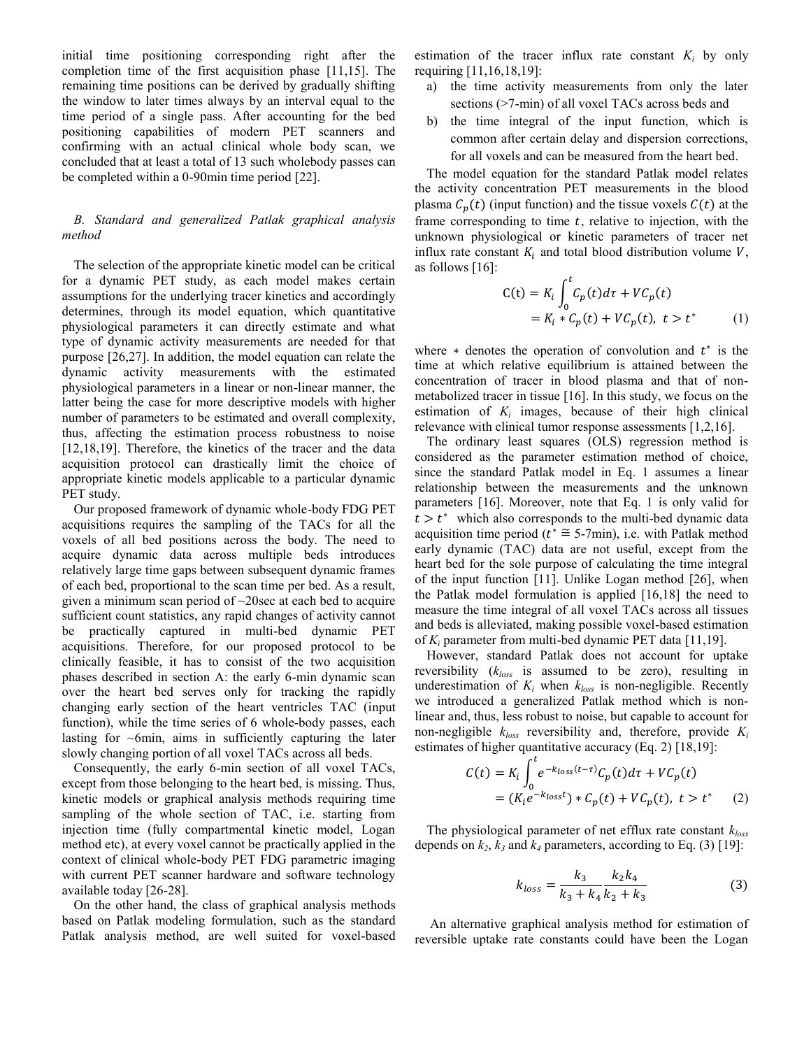initial time positioning corresponding right after the completion time of the first acquisition phase [11,15]. The remaining time positions can be derived by gradually shifting the window to later times always by an interval equal to the time period of a single pass. After accounting for the bed positioning capabilities of modern PET scanners and confirming with an actual clinical whole body scan, we concluded that at least a total of 13 such wholebody passes can be completed within a 0-90min time period [22].

# *B. Standard and generalized Patlak graphical analysis method*

The selection of the appropriate kinetic model can be critical for a dynamic PET study, as each model makes certain assumptions for the underlying tracer kinetics and accordingly determines, through its model equation, which quantitative physiological parameters it can directly estimate and what type of dynamic activity measurements are needed for that purpose [26,27]. In addition, the model equation can relate the dynamic activity measurements with the estimated physiological parameters in a linear or non-linear manner, the latter being the case for more descriptive models with higher number of parameters to be estimated and overall complexity, thus, affecting the estimation process robustness to noise [12,18,19]. Therefore, the kinetics of the tracer and the data acquisition protocol can drastically limit the choice of appropriate kinetic models applicable to a particular dynamic PET study.

Our proposed framework of dynamic whole-body FDG PET acquisitions requires the sampling of the TACs for all the voxels of all bed positions across the body. The need to acquire dynamic data across multiple beds introduces relatively large time gaps between subsequent dynamic frames of each bed, proportional to the scan time per bed. As a result, given a minimum scan period of ~20sec at each bed to acquire sufficient count statistics, any rapid changes of activity cannot be practically captured in multi-bed dynamic PET acquisitions. Therefore, for our proposed protocol to be clinically feasible, it has to consist of the two acquisition phases described in section A: the early 6-min dynamic scan over the heart bed serves only for tracking the rapidly changing early section of the heart ventricles TAC (input function), while the time series of 6 whole-body passes, each lasting for  $\sim$ 6min, aims in sufficiently capturing the later slowly changing portion of all voxel TACs across all beds.

Consequently, the early 6-min section of all voxel TACs, except from those belonging to the heart bed, is missing. Thus, kinetic models or graphical analysis methods requiring time sampling of the whole section of TAC, i.e. starting from injection time (fully compartmental kinetic model, Logan method etc), at every voxel cannot be practically applied in the context of clinical whole-body PET FDG parametric imaging with current PET scanner hardware and software technology available today [26-28].

On the other hand, the class of graphical analysis methods based on Patlak modeling formulation, such as the standard Patlak analysis method, are well suited for voxel-based estimation of the tracer influx rate constant  $K_i$  by only requiring [11,16,18,19]:

- a) the time activity measurements from only the later sections (>7-min) of all voxel TACs across beds and
- b) the time integral of the input function, which is common after certain delay and dispersion corrections, for all voxels and can be measured from the heart bed.

The model equation for the standard Patlak model relates the activity concentration PET measurements in the blood plasma  $C_n(t)$  (input function) and the tissue voxels  $\mathcal{C}(t)$  at the frame corresponding to time  $t$ , relative to injection, with the unknown physiological or kinetic parameters of tracer net influx rate constant  $K_i$  and total blood distribution volume  $V$ , as follows [16]:

$$
C(t) = K_i \int_0^t C_p(t) d\tau + VC_p(t)
$$
  
=  $K_i * C_p(t) + VC_p(t), t > t^*$  (1)

where  $*$  denotes the operation of convolution and  $t^*$  is the time at which relative equilibrium is attained between the concentration of tracer in blood plasma and that of nonmetabolized tracer in tissue [16]. In this study, we focus on the estimation of  $K_i$  images, because of their high clinical relevance with clinical tumor response assessments [1,2,16].

The ordinary least squares (OLS) regression method is considered as the parameter estimation method of choice, since the standard Patlak model in Eq. 1 assumes a linear relationship between the measurements and the unknown parameters [16]. Moreover, note that Eq. 1 is only valid for  $t > t^*$  which also corresponds to the multi-bed dynamic data acquisition time period ( $t^* \approx 5$ -7min), i.e. with Patlak method early dynamic (TAC) data are not useful, except from the heart bed for the sole purpose of calculating the time integral of the input function [11]. Unlike Logan method [26], when the Patlak model formulation is applied [16,18] the need to measure the time integral of all voxel TACs across all tissues and beds is alleviated, making possible voxel-based estimation of *Ki* parameter from multi-bed dynamic PET data [11,19].

However, standard Patlak does not account for uptake reversibility (*kloss* is assumed to be zero), resulting in underestimation of  $K_i$  when  $k_{loss}$  is non-negligible. Recently we introduced a generalized Patlak method which is nonlinear and, thus, less robust to noise, but capable to account for non-negligible *kloss* reversibility and, therefore, provide *Ki* estimates of higher quantitative accuracy (Eq. 2) [18,19]:

$$
C(t) = K_i \int_0^t e^{-k_{loss}(t-\tau)} C_p(t) d\tau + VC_p(t)
$$
  
=  $(K_i e^{-k_{loss}t}) * C_p(t) + VC_p(t), t > t^*$  (2)

The physiological parameter of net efflux rate constant *kloss* depends on  $k_2$ ,  $k_3$  and  $k_4$  parameters, according to Eq. (3) [19]:

$$
k_{loss} = \frac{k_3}{k_3 + k_4} \frac{k_2 k_4}{k_2 + k_3} \tag{3}
$$

 An alternative graphical analysis method for estimation of reversible uptake rate constants could have been the Logan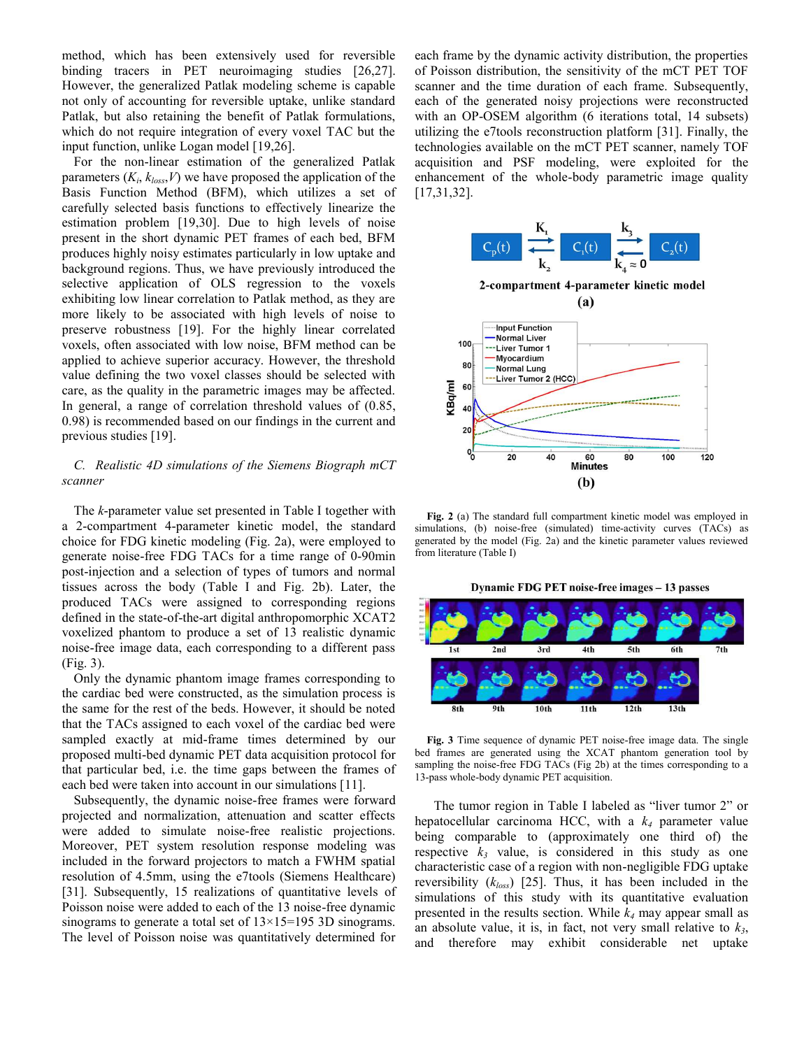method, which has been extensively used for reversible binding tracers in PET neuroimaging studies [26,27]. However, the generalized Patlak modeling scheme is capable not only of accounting for reversible uptake, unlike standard Patlak, but also retaining the benefit of Patlak formulations, which do not require integration of every voxel TAC but the input function, unlike Logan model [19,26].

For the non-linear estimation of the generalized Patlak parameters  $(K_i, k_{loss}, V)$  we have proposed the application of the Basis Function Method (BFM), which utilizes a set of carefully selected basis functions to effectively linearize the estimation problem [19,30]. Due to high levels of noise present in the short dynamic PET frames of each bed, BFM produces highly noisy estimates particularly in low uptake and background regions. Thus, we have previously introduced the selective application of OLS regression to the voxels exhibiting low linear correlation to Patlak method, as they are more likely to be associated with high levels of noise to preserve robustness [19]. For the highly linear correlated voxels, often associated with low noise, BFM method can be applied to achieve superior accuracy. However, the threshold value defining the two voxel classes should be selected with care, as the quality in the parametric images may be affected. In general, a range of correlation threshold values of (0.85, 0.98) is recommended based on our findings in the current and previous studies [19].

# *C. Realistic 4D simulations of the Siemens Biograph mCT scanner*

The *k*-parameter value set presented in Table I together with a 2-compartment 4-parameter kinetic model, the standard choice for FDG kinetic modeling (Fig. 2a), were employed to generate noise-free FDG TACs for a time range of 0-90min post-injection and a selection of types of tumors and normal tissues across the body (Table I and Fig. 2b). Later, the produced TACs were assigned to corresponding regions defined in the state-of-the-art digital anthropomorphic XCAT2 voxelized phantom to produce a set of 13 realistic dynamic noise-free image data, each corresponding to a different pass (Fig. 3).

Only the dynamic phantom image frames corresponding to the cardiac bed were constructed, as the simulation process is the same for the rest of the beds. However, it should be noted that the TACs assigned to each voxel of the cardiac bed were sampled exactly at mid-frame times determined by our proposed multi-bed dynamic PET data acquisition protocol for that particular bed, i.e. the time gaps between the frames of each bed were taken into account in our simulations [11].

Subsequently, the dynamic noise-free frames were forward projected and normalization, attenuation and scatter effects were added to simulate noise-free realistic projections. Moreover, PET system resolution response modeling was included in the forward projectors to match a FWHM spatial resolution of 4.5mm, using the e7tools (Siemens Healthcare) [31]. Subsequently, 15 realizations of quantitative levels of Poisson noise were added to each of the 13 noise-free dynamic sinograms to generate a total set of  $13\times15=195$  3D sinograms. The level of Poisson noise was quantitatively determined for

each frame by the dynamic activity distribution, the properties of Poisson distribution, the sensitivity of the mCT PET TOF scanner and the time duration of each frame. Subsequently, each of the generated noisy projections were reconstructed with an OP-OSEM algorithm (6 iterations total, 14 subsets) utilizing the e7tools reconstruction platform [31]. Finally, the technologies available on the mCT PET scanner, namely TOF acquisition and PSF modeling, were exploited for the enhancement of the whole-body parametric image quality [17,31,32].



**Fig. 2** (a) The standard full compartment kinetic model was employed in simulations, (b) noise-free (simulated) time-activity curves (TACs) as generated by the model (Fig. 2a) and the kinetic parameter values reviewed from literature (Table I)

Dynamic FDG PET noise-free images - 13 passes



**Fig. 3** Time sequence of dynamic PET noise-free image data. The single bed frames are generated using the XCAT phantom generation tool by sampling the noise-free FDG TACs (Fig 2b) at the times corresponding to a 13-pass whole-body dynamic PET acquisition.

The tumor region in Table I labeled as "liver tumor 2" or hepatocellular carcinoma HCC, with a *k4* parameter value being comparable to (approximately one third of) the respective  $k_3$  value, is considered in this study as one characteristic case of a region with non-negligible FDG uptake reversibility (*kloss*) [25]. Thus, it has been included in the simulations of this study with its quantitative evaluation presented in the results section. While *k4* may appear small as an absolute value, it is, in fact, not very small relative to  $k_3$ , and therefore may exhibit considerable net uptake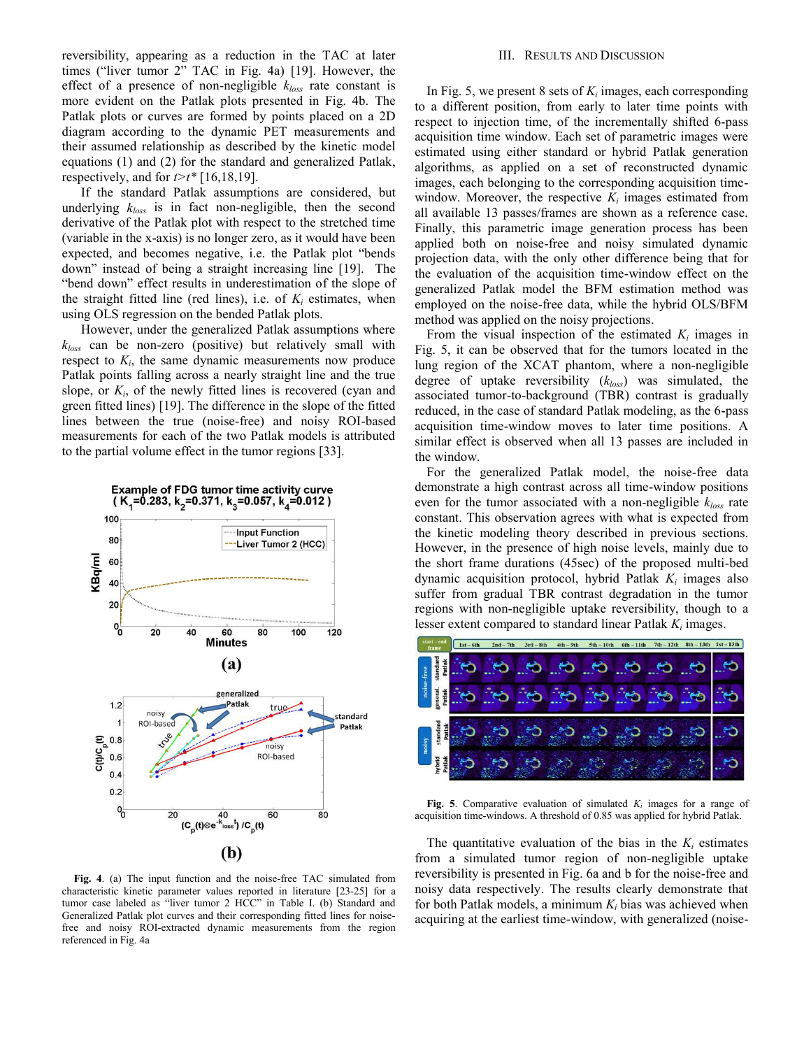reversibility, appearing as a reduction in the TAC at later times ("liver tumor 2" TAC in Fig. 4a) [19]. However, the effect of a presence of non-negligible *kloss* rate constant is more evident on the Patlak plots presented in Fig. 4b. The Patlak plots or curves are formed by points placed on a 2D diagram according to the dynamic PET measurements and their assumed relationship as described by the kinetic model equations (1) and (2) for the standard and generalized Patlak, respectively, and for  $t > t^*$  [16,18,19].

If the standard Patlak assumptions are considered, but underlying *kloss* is in fact non-negligible, then the second derivative of the Patlak plot with respect to the stretched time (variable in the x-axis) is no longer zero, as it would have been expected, and becomes negative, i.e. the Patlak plot "bends down" instead of being a straight increasing line [19]. The "bend down" effect results in underestimation of the slope of the straight fitted line (red lines), i.e. of  $K_i$  estimates, when using OLS regression on the bended Patlak plots.

However, under the generalized Patlak assumptions where *kloss* can be non-zero (positive) but relatively small with respect to  $K_i$ , the same dynamic measurements now produce Patlak points falling across a nearly straight line and the true slope, or  $K_i$ , of the newly fitted lines is recovered (cyan and green fitted lines) [19]. The difference in the slope of the fitted lines between the true (noise-free) and noisy ROI-based measurements for each of the two Patlak models is attributed to the partial volume effect in the tumor regions [33].



**Fig. 4**. (a) The input function and the noise-free TAC simulated from characteristic kinetic parameter values reported in literature [23-25] for a tumor case labeled as "liver tumor 2 HCC" in Table I. (b) Standard and Generalized Patlak plot curves and their corresponding fitted lines for noisefree and noisy ROI-extracted dynamic measurements from the region referenced in Fig. 4a

#### III. RESULTS AND DISCUSSION

In Fig. 5, we present 8 sets of *Ki* images, each corresponding to a different position, from early to later time points with respect to injection time, of the incrementally shifted 6-pass acquisition time window. Each set of parametric images were estimated using either standard or hybrid Patlak generation algorithms, as applied on a set of reconstructed dynamic images, each belonging to the corresponding acquisition timewindow. Moreover, the respective  $K_i$  images estimated from all available 13 passes/frames are shown as a reference case. Finally, this parametric image generation process has been applied both on noise-free and noisy simulated dynamic projection data, with the only other difference being that for the evaluation of the acquisition time-window effect on the generalized Patlak model the BFM estimation method was employed on the noise-free data, while the hybrid OLS/BFM method was applied on the noisy projections.

From the visual inspection of the estimated  $K_i$  images in Fig. 5, it can be observed that for the tumors located in the lung region of the XCAT phantom, where a non-negligible degree of uptake reversibility (*kloss*) was simulated, the associated tumor-to-background (TBR) contrast is gradually reduced, in the case of standard Patlak modeling, as the 6-pass acquisition time-window moves to later time positions. A similar effect is observed when all 13 passes are included in the window.

For the generalized Patlak model, the noise-free data demonstrate a high contrast across all time-window positions even for the tumor associated with a non-negligible *kloss* rate constant. This observation agrees with what is expected from the kinetic modeling theory described in previous sections. However, in the presence of high noise levels, mainly due to the short frame durations (45sec) of the proposed multi-bed dynamic acquisition protocol, hybrid Patlak *Ki* images also suffer from gradual TBR contrast degradation in the tumor regions with non-negligible uptake reversibility, though to a lesser extent compared to standard linear Patlak *Ki* images.



Fig. 5. Comparative evaluation of simulated  $K_i$  images for a range of acquisition time-windows. A threshold of 0.85 was applied for hybrid Patlak.

The quantitative evaluation of the bias in the  $K_i$  estimates from a simulated tumor region of non-negligible uptake reversibility is presented in Fig. 6a and b for the noise-free and noisy data respectively. The results clearly demonstrate that for both Patlak models, a minimum *Ki* bias was achieved when acquiring at the earliest time-window, with generalized (noise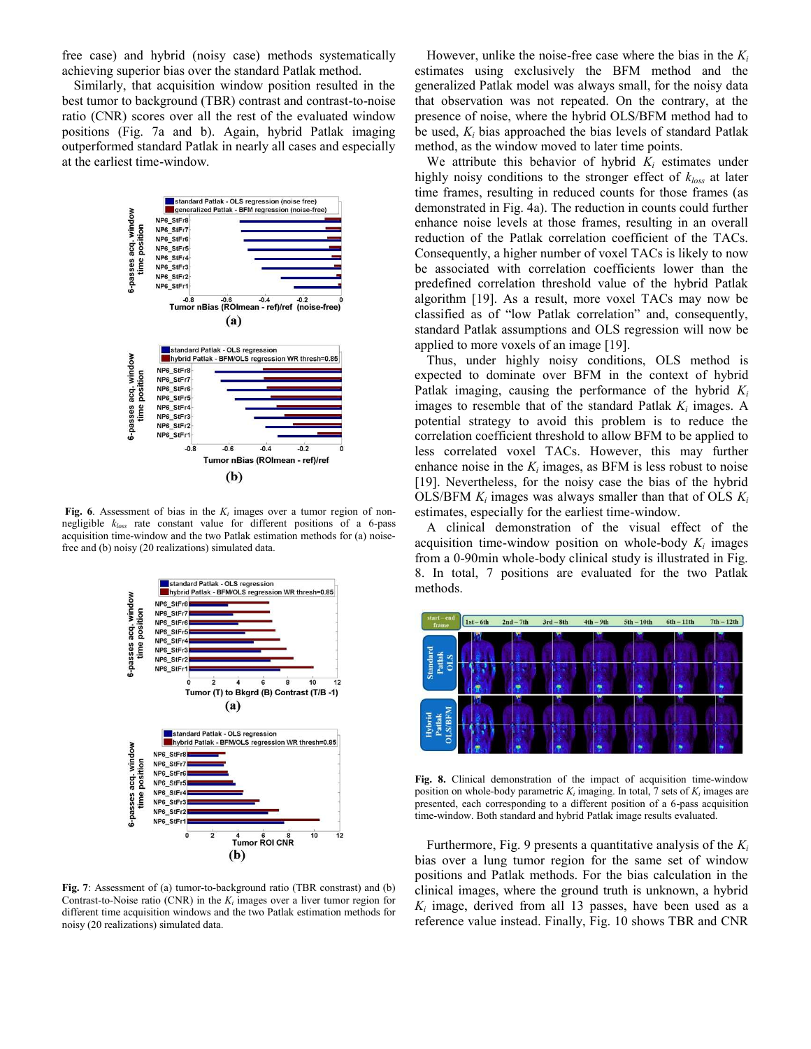free case) and hybrid (noisy case) methods systematically achieving superior bias over the standard Patlak method.

Similarly, that acquisition window position resulted in the best tumor to background (TBR) contrast and contrast-to-noise ratio (CNR) scores over all the rest of the evaluated window positions (Fig. 7a and b). Again, hybrid Patlak imaging outperformed standard Patlak in nearly all cases and especially at the earliest time-window.



**Fig. 6**. Assessment of bias in the  $K_i$  images over a tumor region of nonnegligible *kloss* rate constant value for different positions of a 6-pass acquisition time-window and the two Patlak estimation methods for (a) noisefree and (b) noisy (20 realizations) simulated data.



**Fig. 7**: Assessment of (a) tumor-to-background ratio (TBR constrast) and (b) Contrast-to-Noise ratio (CNR) in the  $K_i$  images over a liver tumor region for different time acquisition windows and the two Patlak estimation methods for noisy (20 realizations) simulated data.

However, unlike the noise-free case where the bias in the *Ki* estimates using exclusively the BFM method and the generalized Patlak model was always small, for the noisy data that observation was not repeated. On the contrary, at the presence of noise, where the hybrid OLS/BFM method had to be used, *Ki* bias approached the bias levels of standard Patlak method, as the window moved to later time points.

We attribute this behavior of hybrid  $K_i$  estimates under highly noisy conditions to the stronger effect of *kloss* at later time frames, resulting in reduced counts for those frames (as demonstrated in Fig. 4a). The reduction in counts could further enhance noise levels at those frames, resulting in an overall reduction of the Patlak correlation coefficient of the TACs. Consequently, a higher number of voxel TACs is likely to now be associated with correlation coefficients lower than the predefined correlation threshold value of the hybrid Patlak algorithm [19]. As a result, more voxel TACs may now be classified as of "low Patlak correlation" and, consequently, standard Patlak assumptions and OLS regression will now be applied to more voxels of an image [19].

Thus, under highly noisy conditions, OLS method is expected to dominate over BFM in the context of hybrid Patlak imaging, causing the performance of the hybrid *Ki* images to resemble that of the standard Patlak  $K_i$  images. A potential strategy to avoid this problem is to reduce the correlation coefficient threshold to allow BFM to be applied to less correlated voxel TACs. However, this may further enhance noise in the  $K_i$  images, as BFM is less robust to noise [19]. Nevertheless, for the noisy case the bias of the hybrid OLS/BFM  $K_i$  images was always smaller than that of OLS  $K_i$ estimates, especially for the earliest time-window.

A clinical demonstration of the visual effect of the acquisition time-window position on whole-body  $K_i$  images from a 0-90min whole-body clinical study is illustrated in Fig. 8. In total, 7 positions are evaluated for the two Patlak methods.



**Fig. 8.** Clinical demonstration of the impact of acquisition time-window position on whole-body parametric  $K_i$  imaging. In total, 7 sets of  $K_i$  images are presented, each corresponding to a different position of a 6-pass acquisition time-window. Both standard and hybrid Patlak image results evaluated.

Furthermore, Fig. 9 presents a quantitative analysis of the  $K_i$ bias over a lung tumor region for the same set of window positions and Patlak methods. For the bias calculation in the clinical images, where the ground truth is unknown, a hybrid *Ki* image, derived from all 13 passes, have been used as a reference value instead. Finally, Fig. 10 shows TBR and CNR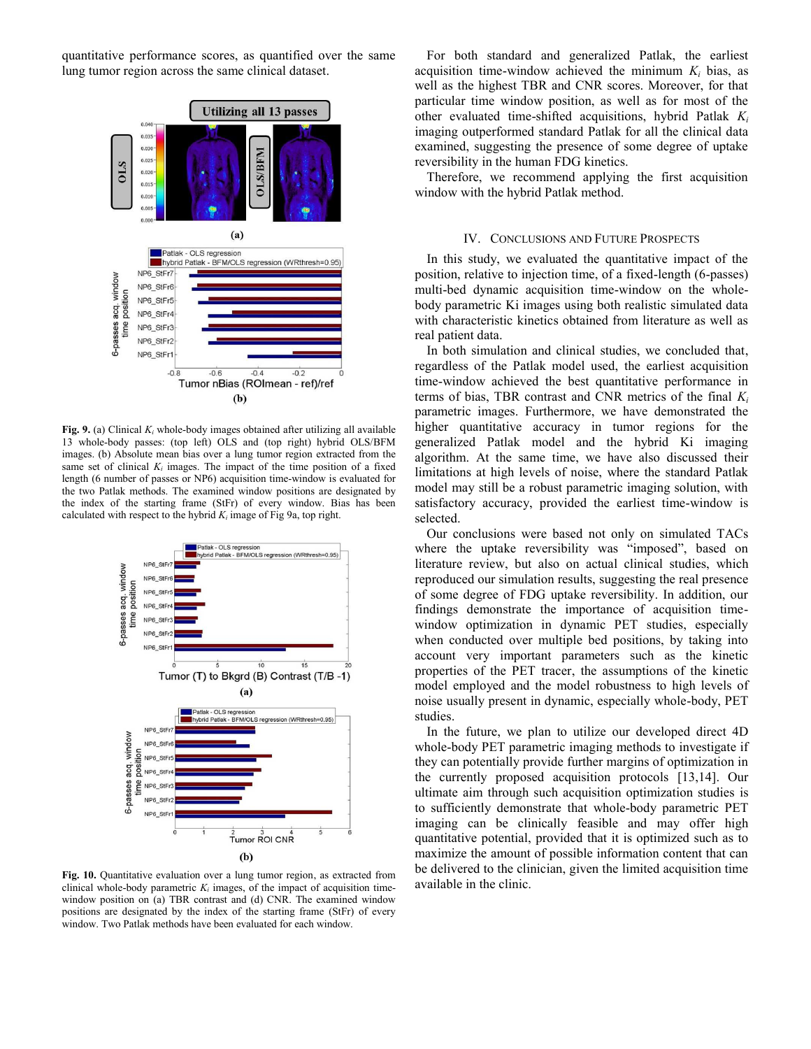quantitative performance scores, as quantified over the same lung tumor region across the same clinical dataset.



**Fig. 9.** (a) Clinical *Ki* whole-body images obtained after utilizing all available 13 whole-body passes: (top left) OLS and (top right) hybrid OLS/BFM images. (b) Absolute mean bias over a lung tumor region extracted from the same set of clinical  $K_i$  images. The impact of the time position of a fixed length (6 number of passes or NP6) acquisition time-window is evaluated for the two Patlak methods. The examined window positions are designated by the index of the starting frame (StFr) of every window. Bias has been calculated with respect to the hybrid  $K_i$  image of Fig 9a, top right.



**Fig. 10.** Quantitative evaluation over a lung tumor region, as extracted from clinical whole-body parametric  $K_i$  images, of the impact of acquisition timewindow position on (a) TBR contrast and (d) CNR. The examined window positions are designated by the index of the starting frame (StFr) of every window. Two Patlak methods have been evaluated for each window.

For both standard and generalized Patlak, the earliest acquisition time-window achieved the minimum  $K_i$  bias, as well as the highest TBR and CNR scores. Moreover, for that particular time window position, as well as for most of the other evaluated time-shifted acquisitions, hybrid Patlak *Ki* imaging outperformed standard Patlak for all the clinical data examined, suggesting the presence of some degree of uptake reversibility in the human FDG kinetics.

Therefore, we recommend applying the first acquisition window with the hybrid Patlak method.

## IV. CONCLUSIONS AND FUTURE PROSPECTS

In this study, we evaluated the quantitative impact of the position, relative to injection time, of a fixed-length (6-passes) multi-bed dynamic acquisition time-window on the wholebody parametric Ki images using both realistic simulated data with characteristic kinetics obtained from literature as well as real patient data.

In both simulation and clinical studies, we concluded that, regardless of the Patlak model used, the earliest acquisition time-window achieved the best quantitative performance in terms of bias, TBR contrast and CNR metrics of the final *Ki* parametric images. Furthermore, we have demonstrated the higher quantitative accuracy in tumor regions for the generalized Patlak model and the hybrid Ki imaging algorithm. At the same time, we have also discussed their limitations at high levels of noise, where the standard Patlak model may still be a robust parametric imaging solution, with satisfactory accuracy, provided the earliest time-window is selected.

Our conclusions were based not only on simulated TACs where the uptake reversibility was "imposed", based on literature review, but also on actual clinical studies, which reproduced our simulation results, suggesting the real presence of some degree of FDG uptake reversibility. In addition, our findings demonstrate the importance of acquisition timewindow optimization in dynamic PET studies, especially when conducted over multiple bed positions, by taking into account very important parameters such as the kinetic properties of the PET tracer, the assumptions of the kinetic model employed and the model robustness to high levels of noise usually present in dynamic, especially whole-body, PET studies.

In the future, we plan to utilize our developed direct 4D whole-body PET parametric imaging methods to investigate if they can potentially provide further margins of optimization in the currently proposed acquisition protocols [13,14]. Our ultimate aim through such acquisition optimization studies is to sufficiently demonstrate that whole-body parametric PET imaging can be clinically feasible and may offer high quantitative potential, provided that it is optimized such as to maximize the amount of possible information content that can be delivered to the clinician, given the limited acquisition time available in the clinic.